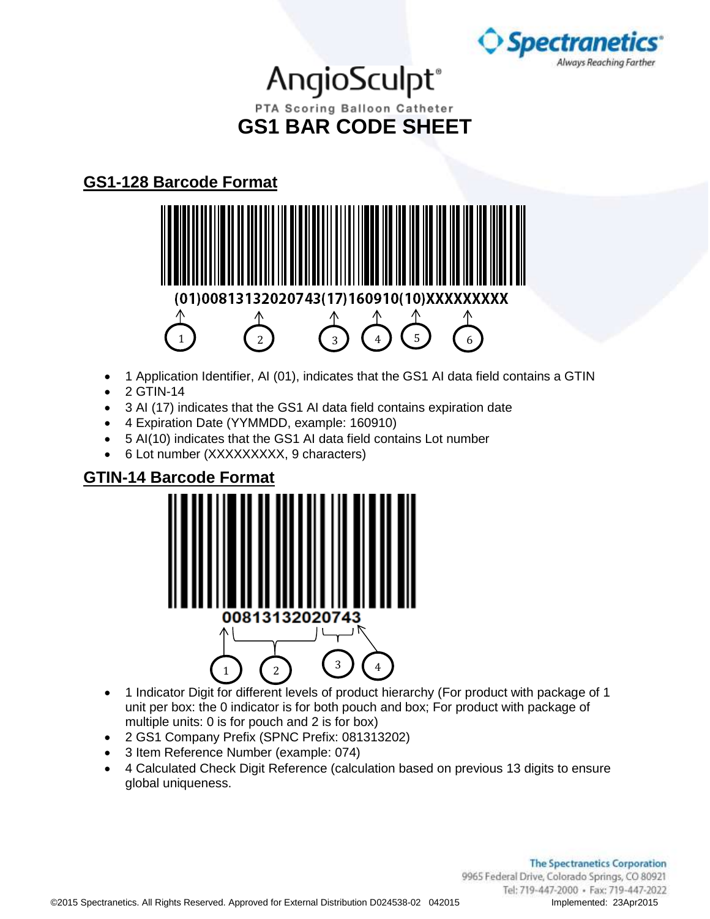

### AngioSculpt® PTA Scoring Balloon Catheter **GS1 BAR CODE SHEET**

### **GS1-128 Barcode Format**



- 1 Application Identifier, AI (01), indicates that the GS1 AI data field contains a GTIN
- 2 GTIN-14
- 3 AI (17) indicates that the GS1 AI data field contains expiration date
- 4 Expiration Date (YYMMDD, example: 160910)
- 5 AI(10) indicates that the GS1 AI data field contains Lot number
- 6 Lot number (XXXXXXXXX, 9 characters)

#### **GTIN-14 Barcode Format**



- 1 Indicator Digit for different levels of product hierarchy (For product with package of 1 unit per box: the 0 indicator is for both pouch and box; For product with package of multiple units: 0 is for pouch and 2 is for box)
- 2 GS1 Company Prefix (SPNC Prefix: 081313202)
- 3 Item Reference Number (example: 074)
- 4 Calculated Check Digit Reference (calculation based on previous 13 digits to ensure global uniqueness.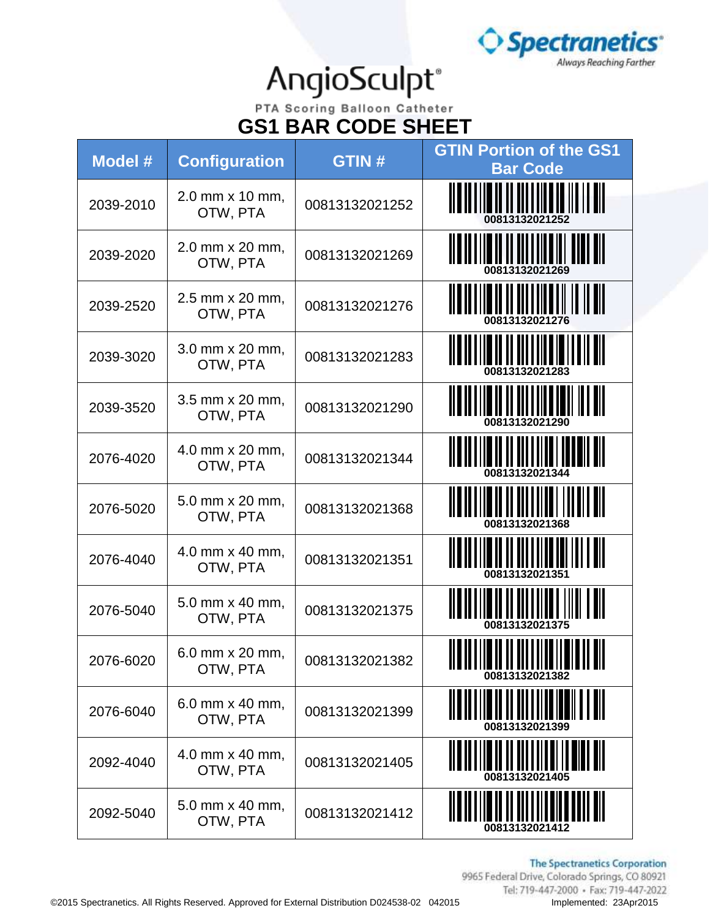

PTA Scoring Balloon Catheter **GS1 BAR CODE SHEET**

| Model #   | <b>Configuration</b>                 | <b>GTIN#</b>   | <b>GTIN Portion of the GS1</b><br><b>Bar Code</b>        |
|-----------|--------------------------------------|----------------|----------------------------------------------------------|
| 2039-2010 | 2.0 mm x 10 mm,<br>OTW, PTA          | 00813132021252 |                                                          |
| 2039-2020 | 2.0 mm x 20 mm,<br>OTW, PTA          | 00813132021269 | <u> II a in i i ia i i i i i i i i i i i i i ann ail</u> |
| 2039-2520 | 2.5 mm x 20 mm,<br>OTW, PTA          | 00813132021276 | <u> A BALITAR A TALIM III II A BIL</u>                   |
| 2039-3020 | 3.0 mm x 20 mm,<br>OTW, PTA          | 00813132021283 |                                                          |
| 2039-3520 | 3.5 mm x 20 mm,<br>OTW, PTA          | 00813132021290 | 00813132021290                                           |
| 2076-4020 | 4.0 mm x 20 mm,<br>OTW, PTA          | 00813132021344 | <u> ALANA III ALANA INI MAR</u>                          |
| 2076-5020 | 5.0 mm x 20 mm,<br>OTW, PTA          | 00813132021368 |                                                          |
| 2076-4040 | 4.0 mm x 40 mm,<br>OTW, PTA          | 00813132021351 |                                                          |
| 2076-5040 | 5.0 mm x 40 mm,<br>OTW, PTA          | 00813132021375 |                                                          |
| 2076-6020 | $6.0$ mm $\times$ 20 mm,<br>OTW, PTA | 00813132021382 |                                                          |
| 2076-6040 | 6.0 mm x 40 mm,<br>OTW, PTA          | 00813132021399 |                                                          |
| 2092-4040 | 4.0 mm x 40 mm,<br>OTW, PTA          | 00813132021405 | 00813132021405                                           |
| 2092-5040 | 5.0 mm x 40 mm,<br>OTW, PTA          | 00813132021412 | 00813132021412                                           |

**The Spectranetics Corporation**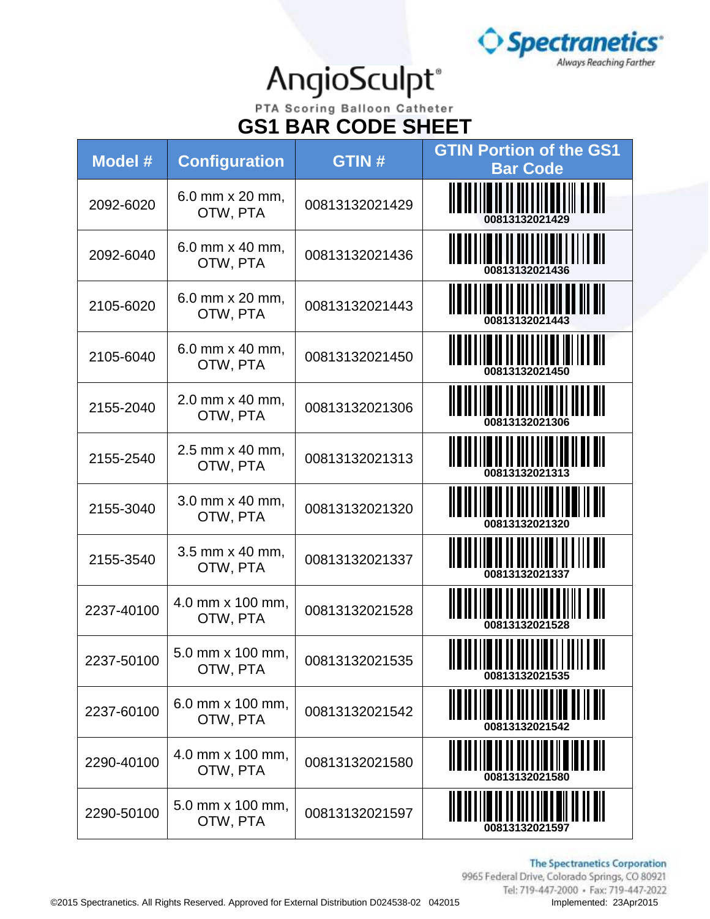

PTA Scoring Balloon Catheter **GS1 BAR CODE SHEET**

| Model #    | <b>Configuration</b>         | <b>GTIN#</b>   | <b>GTIN Portion of the GS1</b><br><b>Bar Code</b>                                                                   |
|------------|------------------------------|----------------|---------------------------------------------------------------------------------------------------------------------|
| 2092-6020  | 6.0 mm x 20 mm,<br>OTW, PTA  | 00813132021429 |                                                                                                                     |
| 2092-6040  | 6.0 mm x 40 mm,<br>OTW, PTA  | 00813132021436 | 00813132021436                                                                                                      |
| 2105-6020  | 6.0 mm x 20 mm,<br>OTW, PTA  | 00813132021443 |                                                                                                                     |
| 2105-6040  | 6.0 mm x 40 mm,<br>OTW, PTA  | 00813132021450 |                                                                                                                     |
| 2155-2040  | 2.0 mm x 40 mm,<br>OTW, PTA  | 00813132021306 | 00813132021306                                                                                                      |
| 2155-2540  | 2.5 mm x 40 mm,<br>OTW, PTA  | 00813132021313 |                                                                                                                     |
| 2155-3040  | 3.0 mm x 40 mm,<br>OTW, PTA  | 00813132021320 | <u> A B A FILM A BADA A FILM A BAD</u>                                                                              |
| 2155-3540  | 3.5 mm x 40 mm,<br>OTW, PTA  | 00813132021337 |                                                                                                                     |
| 2237-40100 | 4.0 mm x 100 mm,<br>OTW, PTA | 00813132021528 | 00813132021528                                                                                                      |
| 2237-50100 | 5.0 mm x 100 mm,<br>OTW, PTA | 00813132021535 | II III<br><u>ila na na mammai mam</u><br><u> 11 0 11 1 1 10 11 11 11 11 1</u><br>,,,,,,,,,,,,,,,,<br>00813132021535 |
| 2237-60100 | 6.0 mm x 100 mm,<br>OTW, PTA | 00813132021542 |                                                                                                                     |
| 2290-40100 | 4.0 mm x 100 mm,<br>OTW, PTA | 00813132021580 | 00813132021580                                                                                                      |
| 2290-50100 | 5.0 mm x 100 mm,<br>OTW, PTA | 00813132021597 | 00813132021597                                                                                                      |

**The Spectranetics Corporation**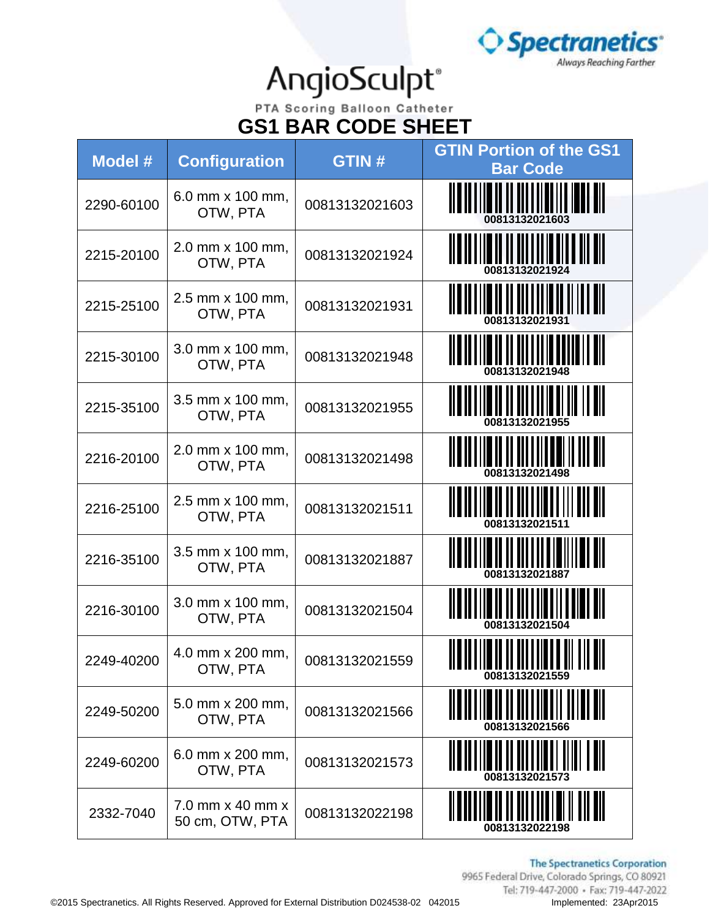

#### PTA Scoring Balloon Catheter **GS1 BAR CODE SHEET**

| <b>Model #</b> | <b>Configuration</b>                | <b>GTIN#</b>   | <b>GTIN Portion of the GS1</b><br><b>Bar Code</b> |
|----------------|-------------------------------------|----------------|---------------------------------------------------|
| 2290-60100     | 6.0 mm x 100 mm,<br>OTW, PTA        | 00813132021603 |                                                   |
| 2215-20100     | 2.0 mm x 100 mm,<br>OTW, PTA        | 00813132021924 | 00813132021924                                    |
| 2215-25100     | 2.5 mm x 100 mm,<br>OTW, PTA        | 00813132021931 |                                                   |
| 2215-30100     | 3.0 mm x 100 mm,<br>OTW, PTA        | 00813132021948 |                                                   |
| 2215-35100     | 3.5 mm x 100 mm,<br>OTW, PTA        | 00813132021955 | 00813132021955                                    |
| 2216-20100     | 2.0 mm x 100 mm,<br>OTW, PTA        | 00813132021498 |                                                   |
| 2216-25100     | 2.5 mm x 100 mm,<br>OTW, PTA        | 00813132021511 |                                                   |
| 2216-35100     | 3.5 mm x 100 mm,<br>OTW, PTA        | 00813132021887 |                                                   |
| 2216-30100     | 3.0 mm x 100 mm,<br>OTW, PTA        | 00813132021504 | 00813132021504                                    |
| 2249-40200     | 4.0 mm x 200 mm,<br>OTW, PTA        | 00813132021559 | ║                                                 |
| 2249-50200     | 5.0 mm x 200 mm,<br>OTW, PTA        | 00813132021566 | <b>join in Italian</b> (j. 1011)                  |
| 2249-60200     | 6.0 mm x 200 mm,<br>OTW, PTA        | 00813132021573 |                                                   |
| 2332-7040      | 7.0 mm x 40 mm x<br>50 cm, OTW, PTA | 00813132022198 | 00813132022198                                    |

**The Spectranetics Corporation**